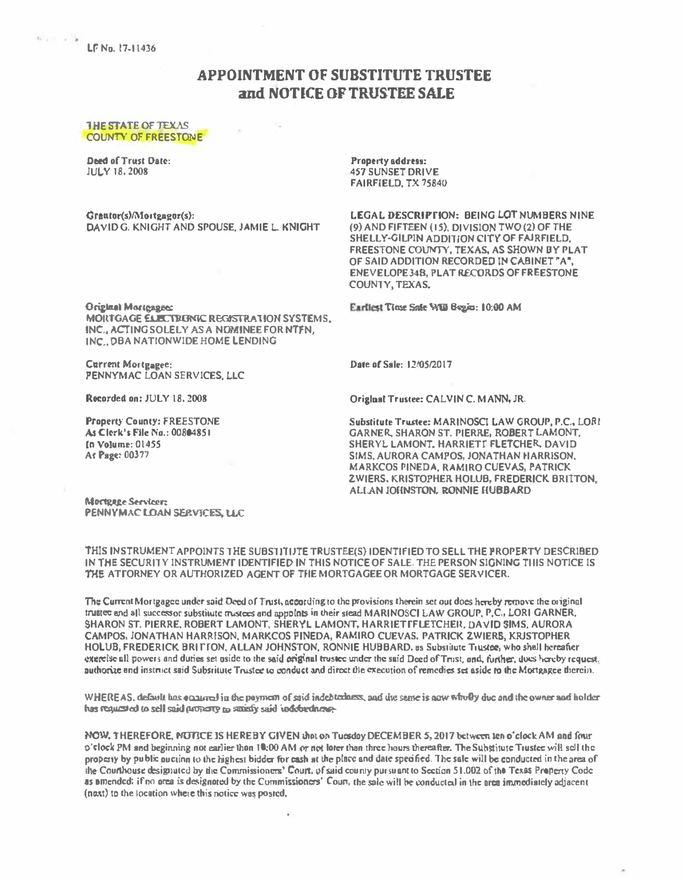$h_{\text{max}} = \frac{1}{2}$  LF No. 17-11436

## **APPOINTMENT OF SURSTITUTE TRUSTEE** and NOTICE OF TRUSTEE SALE

## **THE STATE OF TEXAS COUNTY OF FREESTONE**

**Deed of Trust Date: JULY 18, 2008** 

Grautor(s)/Mortgagor(s): DAVID G. KNIGHT AND SPOUSE, JAMIE L KNIGHT Property address: **457 SUNSET DRIVE** FAIRFIELD, TX 75840

LEGAL DESCRIPTION: BEING LOT NUMBERS NINE (9) AND FIFTEEN (15). DIVISION TWO (2) OF THE SHELLY-GILPIN ADDITION CITY OF FAIRFIELD. FREESTONE COUNTY, TEXAS, AS SHOWN BY PLAT OF SAID ADDITION RECORDED IN CABINET "A". **ENEVELOPE 348. PLAT RECORDS OF FREESTONE COUNTY, TEXAS.** 

Eartlest Time Safe WW Begin: 10:00 AM

**Original Mortgages:** 

MOILTGAGE ELECTRUNIC REGISTRATION SYSTEMS. INC., ACTING SOLELY AS A NOMINEE FOR NTFN. INC. DBA NATIONWIDE HOME LENDING

**Current Mortgagee:** PENNYMAC LOAN SERVICES, LLC

Recorded on: JULY 18, 2008

**Property County: FREESTONE** As Clerk's File No.: 00804851 In Volume: 01455 At Page: 00377

Date of Sale: 12/05/2017

Original Trustee: CALVIN C. MANN, JR.

Substitute Trustee: MARINOSCI LAW GROUP, P.C., LORI **GARNER SHARON ST. PIERRE, ROBERT LAMONT.** SHERYL LAMONT. HARRIETT FLETCHER, DAVID SIMS, AURORA CAMPOS, JONATHAN HARRISON, **MARKCOS PINEDA, RAMIRO CUEVAS, PATRICK 2WIERS, KRISTOPHER HOLUB. FREDERICK BRITTON.** ALLAN JOHNSTON, RONNIE HUBBARD

Mortgage Servicer: PENNYMAC LOAN SERVICES, LLC

THIS INSTRUMENT APPOINTS THE SUBSTITIJTE TRUSTEE(S) IDENTIFIED TO SELL THE PROPERTY DESCRIBED IN THE SECURITY INSTRUMENT IDENTIFIED IN THIS NOTICE OF SALE. THE PERSON SIGNING TIIIS NOTICE IS THE ATTORNEY OR AUTHORIZED AGENT OF THE MORTGAGEE OR MORTGAGE SERVICER.

The Current Mortgagee under said Deed of Trust, according to the provisions therein set out does hereby remove the original trustee and all successor substitute mistees and appoints in their stead MARINOSCI LAW GROUP. P.C., LORI GARNER. SHARON ST. PIERRE, ROBERT LAMONT, SHERYL LAMONT, HARRIETTFLETCHER, DAVID SIMS, AURORA CAMPOS, JONATHAN HARRISON, MARKCOS FINEDA, RAMIRO CUEVAS, PATRICK ZWIERS, KRJSTOPHER HOLUB, FREDERICK BRITTON, ALLAN JOHNSTON, RONNIE HUBBARD, as Substitute Tiustee, who shall hereafter exercise all powers and duties set uside to the said criginal trustee under the said Deed of Trust, and, further, dues hereby request, authorize and instruct said Subsritute Trustee to conduct and direct the execution of remedies set aside to the Mortgagee therein.

WHEREAS, default has enabled in the payment of said indebtedness, and the seme is now wholly due and the owner and holder has requested to sell said property to saintly said individuals.

NOW, THEREFORE, NUTICE IS HEREBY GIVEN that on Tuesday DECEMBER 5, 2017 between ten o'clock AM and four  $\phi$ 'clock PM and beginning not earlier than 10:00 AM or not later than three hours thereafter. The Subgijute Tiustee will sell the property by public auction to the highest bidder for eash at the place and date specified. The sale will be conducted in the area of the Counthouse designated by the Commissioners' Court, of said county pursuant to Section 51.002 of the Texas Property Code as amended: if no area is designated by the Commissioners' Court, the sale will be conducted in the area immediately adjacent (next) to the location where this notice was posted,